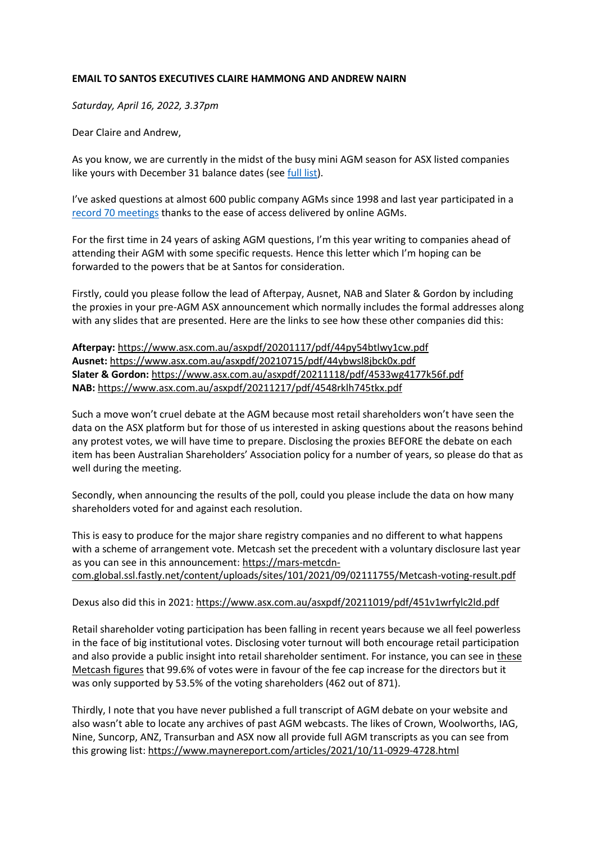## **EMAIL TO SANTOS EXECUTIVES CLAIRE HAMMONG AND ANDREW NAIRN**

*Saturday, April 16, 2022, 3.37pm*

Dear Claire and Andrew,

As you know, we are currently in the midst of the busy mini AGM season for ASX listed companies like yours with December 31 balance dates (see [full list\)](https://www.maynereport.com/articles/2022/01/25-0835-6009.html).

I've asked questions at almost 600 public company AGMs since 1998 and last year participated in a [record 70 meetings](https://www.maynereport.com/articles/2021/12/18-1445-4436.html) thanks to the ease of access delivered by online AGMs.

For the first time in 24 years of asking AGM questions, I'm this year writing to companies ahead of attending their AGM with some specific requests. Hence this letter which I'm hoping can be forwarded to the powers that be at Santos for consideration.

Firstly, could you please follow the lead of Afterpay, Ausnet, NAB and Slater & Gordon by including the proxies in your pre-AGM ASX announcement which normally includes the formal addresses along with any slides that are presented. Here are the links to see how these other companies did this:

**Afterpay:** <https://www.asx.com.au/asxpdf/20201117/pdf/44py54btlwy1cw.pdf> **Ausnet:** <https://www.asx.com.au/asxpdf/20210715/pdf/44ybwsl8jbck0x.pdf> **Slater & Gordon:** <https://www.asx.com.au/asxpdf/20211118/pdf/4533wg4177k56f.pdf> **NAB:** <https://www.asx.com.au/asxpdf/20211217/pdf/4548rklh745tkx.pdf>

Such a move won't cruel debate at the AGM because most retail shareholders won't have seen the data on the ASX platform but for those of us interested in asking questions about the reasons behind any protest votes, we will have time to prepare. Disclosing the proxies BEFORE the debate on each item has been Australian Shareholders' Association policy for a number of years, so please do that as well during the meeting.

Secondly, when announcing the results of the poll, could you please include the data on how many shareholders voted for and against each resolution.

This is easy to produce for the major share registry companies and no different to what happens with a scheme of arrangement vote. Metcash set the precedent with a voluntary disclosure last year as you can see in this announcement: [https://mars-metcdn](https://mars-metcdn-com.global.ssl.fastly.net/content/uploads/sites/101/2021/09/02111755/Metcash-voting-result.pdf)[com.global.ssl.fastly.net/content/uploads/sites/101/2021/09/02111755/Metcash-voting-result.pdf](https://mars-metcdn-com.global.ssl.fastly.net/content/uploads/sites/101/2021/09/02111755/Metcash-voting-result.pdf)

## Dexus also did this in 2021:<https://www.asx.com.au/asxpdf/20211019/pdf/451v1wrfylc2ld.pdf>

Retail shareholder voting participation has been falling in recent years because we all feel powerless in the face of big institutional votes. Disclosing voter turnout will both encourage retail participation and also provide a public insight into retail shareholder sentiment. For instance, you can see i[n these](file:///C:/Users/Stephen/Documents/ASA/2022%20AGMs/:%20https:/mars-metcdn-com.global.ssl.fastly.net/content/uploads/sites/101/2021/09/02111755/Metcash-voting-result.pdf)  [Metcash figures](file:///C:/Users/Stephen/Documents/ASA/2022%20AGMs/:%20https:/mars-metcdn-com.global.ssl.fastly.net/content/uploads/sites/101/2021/09/02111755/Metcash-voting-result.pdf) that 99.6% of votes were in favour of the fee cap increase for the directors but it was only supported by 53.5% of the voting shareholders (462 out of 871).

Thirdly, I note that you have never published a full transcript of AGM debate on your website and also wasn't able to locate any archives of past AGM webcasts. The likes of Crown, Woolworths, IAG, Nine, Suncorp, ANZ, Transurban and ASX now all provide full AGM transcripts as you can see from this growing list:<https://www.maynereport.com/articles/2021/10/11-0929-4728.html>